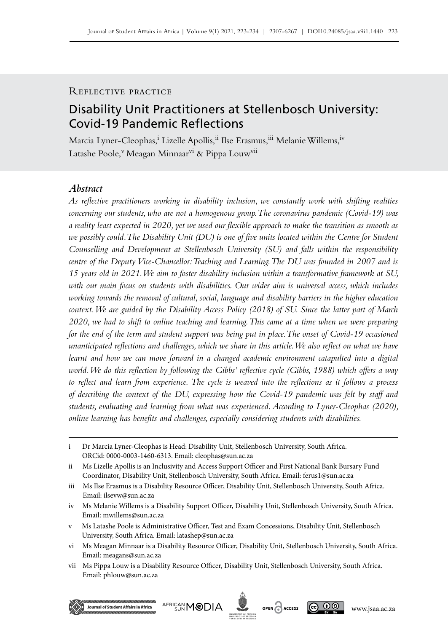# Reflective practice

# Disability Unit Practitioners at Stellenbosch University: Covid‑19 Pandemic Reflections

Marcia Lyner-Cleophas,<sup>i</sup> Lizelle Apollis,<sup>ii</sup> Ilse Erasmus,<sup>iii</sup> Melanie Willems,<sup>iv</sup> Latashe Poole,<sup>v</sup> Meagan Minnaar<sup>vi</sup> & Pippa Louw<sup>vii</sup>

# *Abstract*

*As reflective practitioners working in disability inclusion, we constantly work with shifting realities concerning our students, who are not a homogenous group. The coronavirus pandemic (Covid‑19) was a reality least expected in 2020, yet we used our flexible approach to make the transition as smooth as we possibly could. The Disability Unit (DU) is one of five units located within the Centre for Student Counselling and Development at Stellenbosch University (SU) and falls within the responsibility centre of the Deputy Vice-Chancellor: Teaching and Learning. The DU was founded in 2007 and is 15 years old in 2021. We aim to foster disability inclusion within a transformative framework at SU, with our main focus on students with disabilities. Our wider aim is universal access, which includes working towards the removal of cultural, social, language and disability barriers in the higher education context. We are guided by the Disability Access Policy (2018) of SU. Since the latter part of March 2020, we had to shift to online teaching and learning. This came at a time when we were preparing for the end of the term and student support was being put in place. The onset of Covid-19 occasioned unanticipated reflections and challenges, which we share in this article. We also reflect on what we have learnt and how we can move forward in a changed academic environment catapulted into a digital world. We do this reflection by following the Gibbs' reflective cycle (Gibbs, 1988) which offers a way to reflect and learn from experience. The cycle is weaved into the reflections as it follows a process of describing the context of the DU, expressing how the Covid‑19 pandemic was felt by staff and students, evaluating and learning from what was experienced. According to Lyner-Cleophas (2020), online learning has benefits and challenges, especially considering students with disabilities.*

vii Ms Pippa Louw is a Disability Resource Officer, Disability Unit, Stellenbosch University, South Africa. Email: [phlouw@sun.ac.za](mailto:phlouw%40sun.ac.za?subject=)







i Dr Marcia Lyner-Cleophas is Head: Disability Unit, Stellenbosch University, South Africa. ORCid: 0000-0003-1460-6313. Email: [cleophas@sun.ac.za](mailto:cleophas%40sun.ac.za?subject=)

ii Ms Lizelle Apollis is an Inclusivity and Access Support Officer and First National Bank Bursary Fund Coordinator, Disability Unit, Stellenbosch University, South Africa. Email: [ferus1@sun.ac.za](mailto:ferus1%40sun.ac.za?subject=)

iii Ms Ilse Erasmus is a Disability Resource Officer, Disability Unit, Stellenbosch University, South Africa. Email: [ilsevw@sun.ac.za](mailto:ilsevw%40sun.ac.za?subject=)

iv Ms Melanie Willems is a Disability Support Officer, Disability Unit, Stellenbosch University, South Africa. Email: [mwillems@sun.ac.za](mailto:mwillems%40sun.ac.za?subject=)

v Ms Latashe Poole is Administrative Officer, Test and Exam Concessions, Disability Unit, Stellenbosch University, South Africa. Email: [latashep@sun.ac.za](mailto:latashep%40sun.ac.za?subject=)

vi Ms Meagan Minnaar is a Disability Resource Officer, Disability Unit, Stellenbosch University, South Africa. Email: [meagans@sun.ac.za](mailto:meagans%40sun.ac.za?subject=)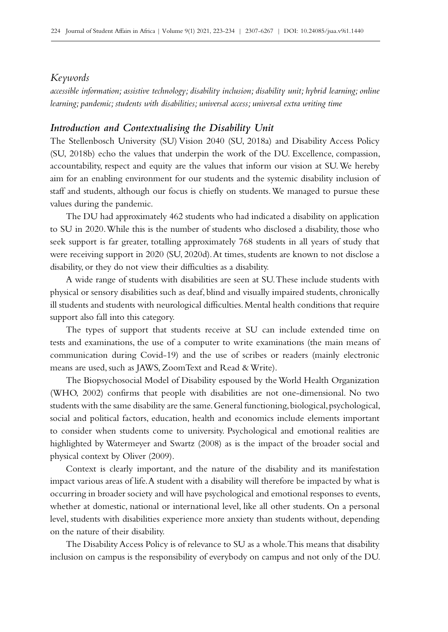#### *Keywords*

*accessible information; assistive technology; disability inclusion; disability unit; hybrid learning; online learning; pandemic; students with disabilities; universal access; universal extra writing time*

### *Introduction and Contextualising the Disability Unit*

The Stellenbosch University (SU) Vision 2040 (SU, 2018a) and Disability Access Policy (SU, 2018b) echo the values that underpin the work of the DU. Excellence, compassion, accountability, respect and equity are the values that inform our vision at SU. We hereby aim for an enabling environment for our students and the systemic disability inclusion of staff and students, although our focus is chiefly on students. We managed to pursue these values during the pandemic.

The DU had approximately 462 students who had indicated a disability on application to SU in 2020. While this is the number of students who disclosed a disability, those who seek support is far greater, totalling approximately 768 students in all years of study that were receiving support in 2020 (SU, 2020d). At times, students are known to not disclose a disability, or they do not view their difficulties as a disability.

A wide range of students with disabilities are seen at SU. These include students with physical or sensory disabilities such as deaf, blind and visually impaired students, chronically ill students and students with neurological difficulties. Mental health conditions that require support also fall into this category.

The types of support that students receive at SU can include extended time on tests and examinations, the use of a computer to write examinations (the main means of communication during Covid‑19) and the use of scribes or readers (mainly electronic means are used, such as JAWS, ZoomText and Read & Write).

The Biopsychosocial Model of Disability espoused by the World Health Organization (WHO, 2002) confirms that people with disabilities are not one-dimensional. No two students with the same disability are the same. General functioning, biological, psychological, social and political factors, education, health and economics include elements important to consider when students come to university. Psychological and emotional realities are highlighted by Watermeyer and Swartz (2008) as is the impact of the broader social and physical context by Oliver (2009).

Context is clearly important, and the nature of the disability and its manifestation impact various areas of life. A student with a disability will therefore be impacted by what is occurring in broader society and will have psychological and emotional responses to events, whether at domestic, national or international level, like all other students. On a personal level, students with disabilities experience more anxiety than students without, depending on the nature of their disability.

The Disability Access Policy is of relevance to SU as a whole. This means that disability inclusion on campus is the responsibility of everybody on campus and not only of the DU.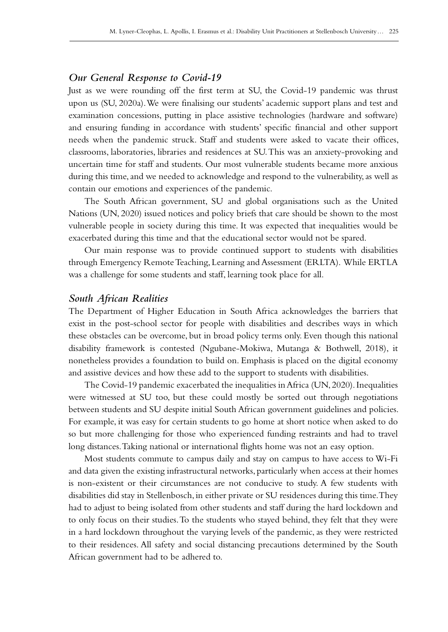# *Our General Response to Covid‑19*

Just as we were rounding off the first term at SU, the Covid-19 pandemic was thrust upon us (SU, 2020a). We were finalising our students' academic support plans and test and examination concessions, putting in place assistive technologies (hardware and software) and ensuring funding in accordance with students' specific financial and other support needs when the pandemic struck. Staff and students were asked to vacate their offices, classrooms, laboratories, libraries and residences at SU. This was an anxiety-provoking and uncertain time for staff and students. Our most vulnerable students became more anxious during this time, and we needed to acknowledge and respond to the vulnerability, as well as contain our emotions and experiences of the pandemic.

The South African government, SU and global organisations such as the United Nations (UN, 2020) issued notices and policy briefs that care should be shown to the most vulnerable people in society during this time. It was expected that inequalities would be exacerbated during this time and that the educational sector would not be spared.

Our main response was to provide continued support to students with disabilities through Emergency Remote Teaching, Learning and Assessment (ERLTA). While ERTLA was a challenge for some students and staff, learning took place for all.

#### *South African Realities*

The Department of Higher Education in South Africa acknowledges the barriers that exist in the post-school sector for people with disabilities and describes ways in which these obstacles can be overcome, but in broad policy terms only. Even though this national disability framework is contested (Ngubane-Mokiwa, Mutanga & Bothwell, 2018), it nonetheless provides a foundation to build on. Emphasis is placed on the digital economy and assistive devices and how these add to the support to students with disabilities.

The Covid-19 pandemic exacerbated the inequalities in Africa (UN, 2020). Inequalities were witnessed at SU too, but these could mostly be sorted out through negotiations between students and SU despite initial South African government guidelines and policies. For example, it was easy for certain students to go home at short notice when asked to do so but more challenging for those who experienced funding restraints and had to travel long distances. Taking national or international flights home was not an easy option.

Most students commute to campus daily and stay on campus to have access to Wi‑Fi and data given the existing infrastructural networks, particularly when access at their homes is non-existent or their circumstances are not conducive to study. A few students with disabilities did stay in Stellenbosch, in either private or SU residences during this time. They had to adjust to being isolated from other students and staff during the hard lockdown and to only focus on their studies. To the students who stayed behind, they felt that they were in a hard lockdown throughout the varying levels of the pandemic, as they were restricted to their residences. All safety and social distancing precautions determined by the South African government had to be adhered to.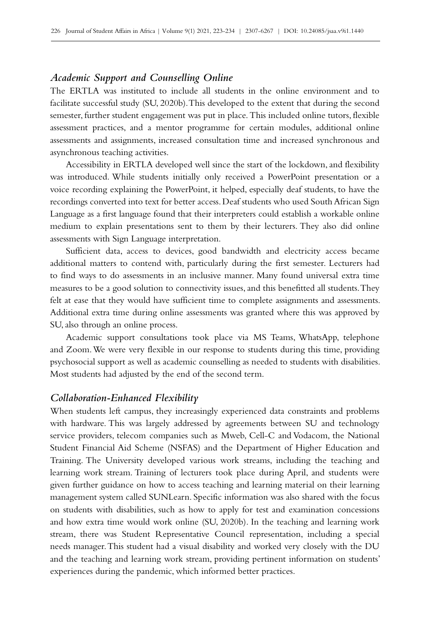## *Academic Support and Counselling Online*

The ERTLA was instituted to include all students in the online environment and to facilitate successful study (SU, 2020b). This developed to the extent that during the second semester, further student engagement was put in place. This included online tutors, flexible assessment practices, and a mentor programme for certain modules, additional online assessments and assignments, increased consultation time and increased synchronous and asynchronous teaching activities.

Accessibility in ERTLA developed well since the start of the lockdown, and flexibility was introduced. While students initially only received a PowerPoint presentation or a voice recording explaining the PowerPoint, it helped, especially deaf students, to have the recordings converted into text for better access. Deaf students who used South African Sign Language as a first language found that their interpreters could establish a workable online medium to explain presentations sent to them by their lecturers. They also did online assessments with Sign Language interpretation.

Sufficient data, access to devices, good bandwidth and electricity access became additional matters to contend with, particularly during the first semester. Lecturers had to find ways to do assessments in an inclusive manner. Many found universal extra time measures to be a good solution to connectivity issues, and this benefitted all students. They felt at ease that they would have sufficient time to complete assignments and assessments. Additional extra time during online assessments was granted where this was approved by SU, also through an online process.

Academic support consultations took place via MS Teams, WhatsApp, telephone and Zoom. We were very flexible in our response to students during this time, providing psychosocial support as well as academic counselling as needed to students with disabilities. Most students had adjusted by the end of the second term.

### *Collaboration-Enhanced Flexibility*

When students left campus, they increasingly experienced data constraints and problems with hardware. This was largely addressed by agreements between SU and technology service providers, telecom companies such as Mweb, Cell-C and Vodacom, the National Student Financial Aid Scheme (NSFAS) and the Department of Higher Education and Training. The University developed various work streams, including the teaching and learning work stream. Training of lecturers took place during April, and students were given further guidance on how to access teaching and learning material on their learning management system called SUNLearn. Specific information was also shared with the focus on students with disabilities, such as how to apply for test and examination concessions and how extra time would work online (SU, 2020b). In the teaching and learning work stream, there was Student Representative Council representation, including a special needs manager. This student had a visual disability and worked very closely with the DU and the teaching and learning work stream, providing pertinent information on students' experiences during the pandemic, which informed better practices.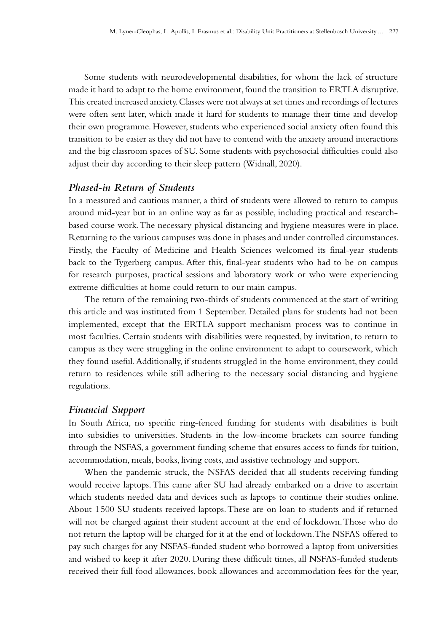Some students with neurodevelopmental disabilities, for whom the lack of structure made it hard to adapt to the home environment, found the transition to ERTLA disruptive. This created increased anxiety. Classes were not always at set times and recordings of lectures were often sent later, which made it hard for students to manage their time and develop their own programme. However, students who experienced social anxiety often found this transition to be easier as they did not have to contend with the anxiety around interactions and the big classroom spaces of SU. Some students with psychosocial difficulties could also adjust their day according to their sleep pattern (Widnall, 2020).

### *Phased-in Return of Students*

In a measured and cautious manner, a third of students were allowed to return to campus around mid-year but in an online way as far as possible, including practical and researchbased course work. The necessary physical distancing and hygiene measures were in place. Returning to the various campuses was done in phases and under controlled circumstances. Firstly, the Faculty of Medicine and Health Sciences welcomed its final-year students back to the Tygerberg campus. After this, final-year students who had to be on campus for research purposes, practical sessions and laboratory work or who were experiencing extreme difficulties at home could return to our main campus.

The return of the remaining two-thirds of students commenced at the start of writing this article and was instituted from 1 September. Detailed plans for students had not been implemented, except that the ERTLA support mechanism process was to continue in most faculties. Certain students with disabilities were requested, by invitation, to return to campus as they were struggling in the online environment to adapt to coursework, which they found useful. Additionally, if students struggled in the home environment, they could return to residences while still adhering to the necessary social distancing and hygiene regulations.

### *Financial Support*

In South Africa, no specific ring-fenced funding for students with disabilities is built into subsidies to universities. Students in the low-income brackets can source funding through the NSFAS, a government funding scheme that ensures access to funds for tuition, accommodation, meals, books, living costs, and assistive technology and support.

When the pandemic struck, the NSFAS decided that all students receiving funding would receive laptops. This came after SU had already embarked on a drive to ascertain which students needed data and devices such as laptops to continue their studies online. About 1500 SU students received laptops. These are on loan to students and if returned will not be charged against their student account at the end of lockdown. Those who do not return the laptop will be charged for it at the end of lockdown. The NSFAS offered to pay such charges for any NSFAS-funded student who borrowed a laptop from universities and wished to keep it after 2020. During these difficult times, all NSFAS-funded students received their full food allowances, book allowances and accommodation fees for the year,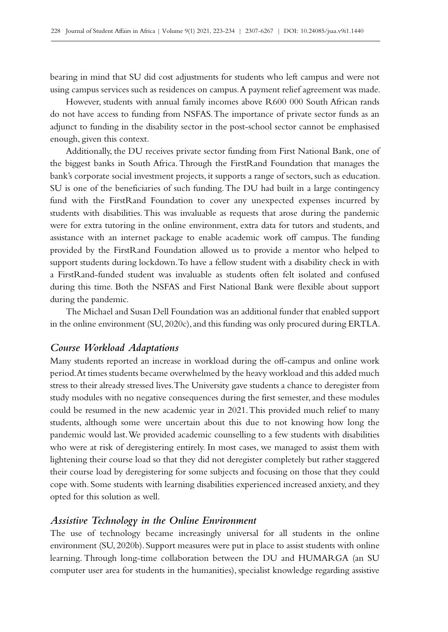bearing in mind that SU did cost adjustments for students who left campus and were not using campus services such as residences on campus. A payment relief agreement was made.

However, students with annual family incomes above R600 000 South African rands do not have access to funding from NSFAS. The importance of private sector funds as an adjunct to funding in the disability sector in the post-school sector cannot be emphasised enough, given this context.

Additionally, the DU receives private sector funding from First National Bank, one of the biggest banks in South Africa. Through the FirstRand Foundation that manages the bank's corporate social investment projects, it supports a range of sectors, such as education. SU is one of the beneficiaries of such funding. The DU had built in a large contingency fund with the FirstRand Foundation to cover any unexpected expenses incurred by students with disabilities. This was invaluable as requests that arose during the pandemic were for extra tutoring in the online environment, extra data for tutors and students, and assistance with an internet package to enable academic work off campus. The funding provided by the FirstRand Foundation allowed us to provide a mentor who helped to support students during lockdown. To have a fellow student with a disability check in with a FirstRand-funded student was invaluable as students often felt isolated and confused during this time. Both the NSFAS and First National Bank were flexible about support during the pandemic.

The Michael and Susan Dell Foundation was an additional funder that enabled support in the online environment (SU, 2020c), and this funding was only procured during ERTLA.

### *Course Workload Adaptations*

Many students reported an increase in workload during the off-campus and online work period. At times students became overwhelmed by the heavy workload and this added much stress to their already stressed lives. The University gave students a chance to deregister from study modules with no negative consequences during the first semester, and these modules could be resumed in the new academic year in 2021. This provided much relief to many students, although some were uncertain about this due to not knowing how long the pandemic would last. We provided academic counselling to a few students with disabilities who were at risk of deregistering entirely. In most cases, we managed to assist them with lightening their course load so that they did not deregister completely but rather staggered their course load by deregistering for some subjects and focusing on those that they could cope with. Some students with learning disabilities experienced increased anxiety, and they opted for this solution as well.

### *Assistive Technology in the Online Environment*

The use of technology became increasingly universal for all students in the online environment (SU, 2020b). Support measures were put in place to assist students with online learning. Through long-time collaboration between the DU and HUMARGA (an SU computer user area for students in the humanities), specialist knowledge regarding assistive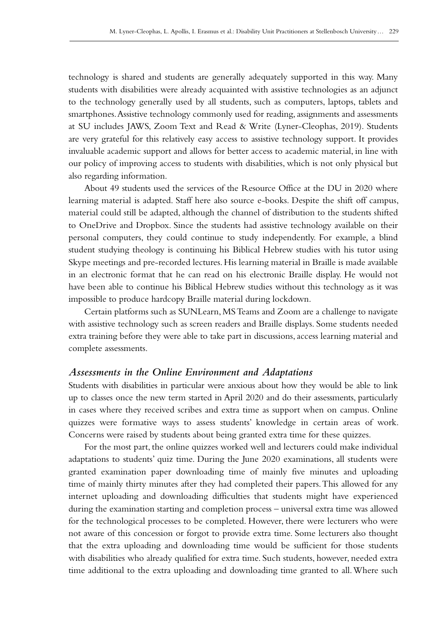technology is shared and students are generally adequately supported in this way. Many students with disabilities were already acquainted with assistive technologies as an adjunct to the technology generally used by all students, such as computers, laptops, tablets and smartphones. Assistive technology commonly used for reading, assignments and assessments at SU includes JAWS, Zoom Text and Read & Write (Lyner-Cleophas, 2019). Students are very grateful for this relatively easy access to assistive technology support. It provides invaluable academic support and allows for better access to academic material, in line with our policy of improving access to students with disabilities, which is not only physical but also regarding information.

About 49 students used the services of the Resource Office at the DU in 2020 where learning material is adapted. Staff here also source e‑books. Despite the shift off campus, material could still be adapted, although the channel of distribution to the students shifted to OneDrive and Dropbox. Since the students had assistive technology available on their personal computers, they could continue to study independently. For example, a blind student studying theology is continuing his Biblical Hebrew studies with his tutor using Skype meetings and pre‑recorded lectures. His learning material in Braille is made available in an electronic format that he can read on his electronic Braille display. He would not have been able to continue his Biblical Hebrew studies without this technology as it was impossible to produce hardcopy Braille material during lockdown.

Certain platforms such as SUNLearn, MS Teams and Zoom are a challenge to navigate with assistive technology such as screen readers and Braille displays. Some students needed extra training before they were able to take part in discussions, access learning material and complete assessments.

#### *Assessments in the Online Environment and Adaptations*

Students with disabilities in particular were anxious about how they would be able to link up to classes once the new term started in April 2020 and do their assessments, particularly in cases where they received scribes and extra time as support when on campus. Online quizzes were formative ways to assess students' knowledge in certain areas of work. Concerns were raised by students about being granted extra time for these quizzes.

For the most part, the online quizzes worked well and lecturers could make individual adaptations to students' quiz time. During the June 2020 examinations, all students were granted examination paper downloading time of mainly five minutes and uploading time of mainly thirty minutes after they had completed their papers. This allowed for any internet uploading and downloading difficulties that students might have experienced during the examination starting and completion process – universal extra time was allowed for the technological processes to be completed. However, there were lecturers who were not aware of this concession or forgot to provide extra time. Some lecturers also thought that the extra uploading and downloading time would be sufficient for those students with disabilities who already qualified for extra time. Such students, however, needed extra time additional to the extra uploading and downloading time granted to all. Where such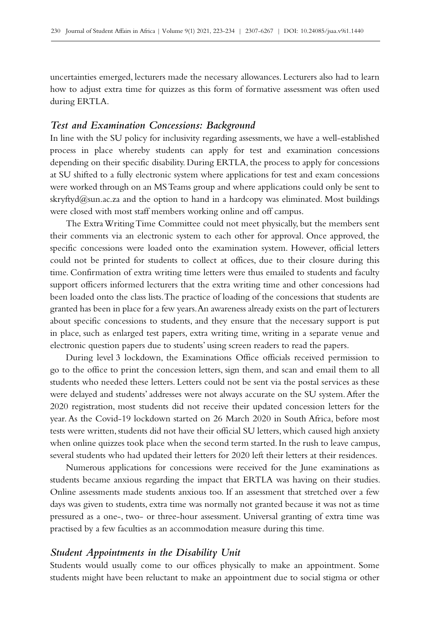uncertainties emerged, lecturers made the necessary allowances. Lecturers also had to learn how to adjust extra time for quizzes as this form of formative assessment was often used during ERTLA.

# *Test and Examination Concessions: Background*

In line with the SU policy for inclusivity regarding assessments, we have a well-established process in place whereby students can apply for test and examination concessions depending on their specific disability. During ERTLA, the process to apply for concessions at SU shifted to a fully electronic system where applications for test and exam concessions were worked through on an MS Teams group and where applications could only be sent to [skryftyd@sun.ac.za](mailto:skryftyd%40sun.ac.za?subject=) and the option to hand in a hardcopy was eliminated. Most buildings were closed with most staff members working online and off campus.

The Extra Writing Time Committee could not meet physically, but the members sent their comments via an electronic system to each other for approval. Once approved, the specific concessions were loaded onto the examination system. However, official letters could not be printed for students to collect at offices, due to their closure during this time. Confirmation of extra writing time letters were thus emailed to students and faculty support officers informed lecturers that the extra writing time and other concessions had been loaded onto the class lists. The practice of loading of the concessions that students are granted has been in place for a few years. An awareness already exists on the part of lecturers about specific concessions to students, and they ensure that the necessary support is put in place, such as enlarged test papers, extra writing time, writing in a separate venue and electronic question papers due to students' using screen readers to read the papers.

During level 3 lockdown, the Examinations Office officials received permission to go to the office to print the concession letters, sign them, and scan and email them to all students who needed these letters. Letters could not be sent via the postal services as these were delayed and students' addresses were not always accurate on the SU system. After the 2020 registration, most students did not receive their updated concession letters for the year. As the Covid-19 lockdown started on 26 March 2020 in South Africa, before most tests were written, students did not have their official SU letters, which caused high anxiety when online quizzes took place when the second term started. In the rush to leave campus, several students who had updated their letters for 2020 left their letters at their residences.

Numerous applications for concessions were received for the June examinations as students became anxious regarding the impact that ERTLA was having on their studies. Online assessments made students anxious too. If an assessment that stretched over a few days was given to students, extra time was normally not granted because it was not as time pressured as a one-, two- or three-hour assessment. Universal granting of extra time was practised by a few faculties as an accommodation measure during this time.

### *Student Appointments in the Disability Unit*

Students would usually come to our offices physically to make an appointment. Some students might have been reluctant to make an appointment due to social stigma or other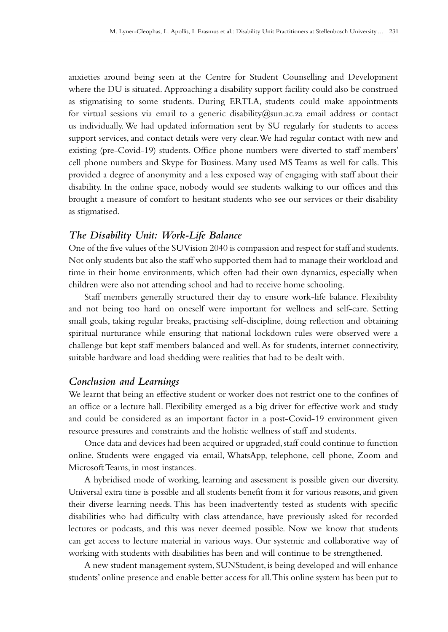anxieties around being seen at the Centre for Student Counselling and Development where the DU is situated. Approaching a disability support facility could also be construed as stigmatising to some students. During ERTLA, students could make appointments for virtual sessions via email to a generic disability  $@sum.ac.za$  email address or contact us individually. We had updated information sent by SU regularly for students to access support services, and contact details were very clear. We had regular contact with new and existing (pre-Covid-19) students. Office phone numbers were diverted to staff members' cell phone numbers and Skype for Business. Many used MS Teams as well for calls. This provided a degree of anonymity and a less exposed way of engaging with staff about their disability. In the online space, nobody would see students walking to our offices and this brought a measure of comfort to hesitant students who see our services or their disability as stigmatised.

### *The Disability Unit: Work-Life Balance*

One of the five values of the SU Vision 2040 is compassion and respect for staff and students. Not only students but also the staff who supported them had to manage their workload and time in their home environments, which often had their own dynamics, especially when children were also not attending school and had to receive home schooling.

Staff members generally structured their day to ensure work-life balance. Flexibility and not being too hard on oneself were important for wellness and self-care. Setting small goals, taking regular breaks, practising self-discipline, doing reflection and obtaining spiritual nurturance while ensuring that national lockdown rules were observed were a challenge but kept staff members balanced and well. As for students, internet connectivity, suitable hardware and load shedding were realities that had to be dealt with.

#### *Conclusion and Learnings*

We learnt that being an effective student or worker does not restrict one to the confines of an office or a lecture hall. Flexibility emerged as a big driver for effective work and study and could be considered as an important factor in a post-Covid-19 environment given resource pressures and constraints and the holistic wellness of staff and students.

Once data and devices had been acquired or upgraded, staff could continue to function online. Students were engaged via email, WhatsApp, telephone, cell phone, Zoom and Microsoft Teams, in most instances.

A hybridised mode of working, learning and assessment is possible given our diversity. Universal extra time is possible and all students benefit from it for various reasons, and given their diverse learning needs. This has been inadvertently tested as students with specific disabilities who had difficulty with class attendance, have previously asked for recorded lectures or podcasts, and this was never deemed possible. Now we know that students can get access to lecture material in various ways. Our systemic and collaborative way of working with students with disabilities has been and will continue to be strengthened.

A new student management system, SUNStudent, is being developed and will enhance students' online presence and enable better access for all. This online system has been put to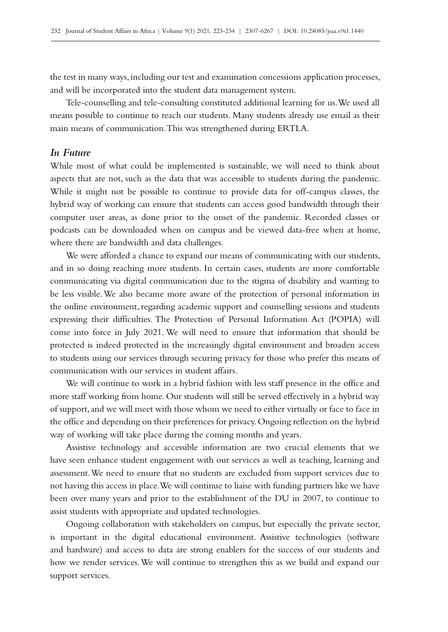the test in many ways, including our test and examination concessions application processes, and will be incorporated into the student data management system.

Tele-counselling and tele-consulting constituted additional learning for us. We used all means possible to continue to reach our students. Many students already use email as their main means of communication. This was strengthened during ERTLA.

### *In Future*

While most of what could be implemented is sustainable, we will need to think about aspects that are not, such as the data that was accessible to students during the pandemic. While it might not be possible to continue to provide data for off-campus classes, the hybrid way of working can ensure that students can access good bandwidth through their computer user areas, as done prior to the onset of the pandemic. Recorded classes or podcasts can be downloaded when on campus and be viewed data-free when at home, where there are bandwidth and data challenges.

We were afforded a chance to expand our means of communicating with our students, and in so doing reaching more students. In certain cases, students are more comfortable communicating via digital communication due to the stigma of disability and wanting to be less visible. We also became more aware of the protection of personal information in the online environment, regarding academic support and counselling sessions and students expressing their difficulties. The Protection of Personal Information Act (POPIA) will come into force in July 2021. We will need to ensure that information that should be protected is indeed protected in the increasingly digital environment and broaden access to students using our services through securing privacy for those who prefer this means of communication with our services in student affairs.

We will continue to work in a hybrid fashion with less staff presence in the office and more staff working from home. Our students will still be served effectively in a hybrid way of support, and we will meet with those whom we need to either virtually or face to face in the office and depending on their preferences for privacy. Ongoing reflection on the hybrid way of working will take place during the coming months and years.

Assistive technology and accessible information are two crucial elements that we have seen enhance student engagement with our services as well as teaching, learning and assessment. We need to ensure that no students are excluded from support services due to not having this access in place. We will continue to liaise with funding partners like we have been over many years and prior to the establishment of the DU in 2007, to continue to assist students with appropriate and updated technologies.

Ongoing collaboration with stakeholders on campus, but especially the private sector, is important in the digital educational environment. Assistive technologies (software and hardware) and access to data are strong enablers for the success of our students and how we render services. We will continue to strengthen this as we build and expand our support services.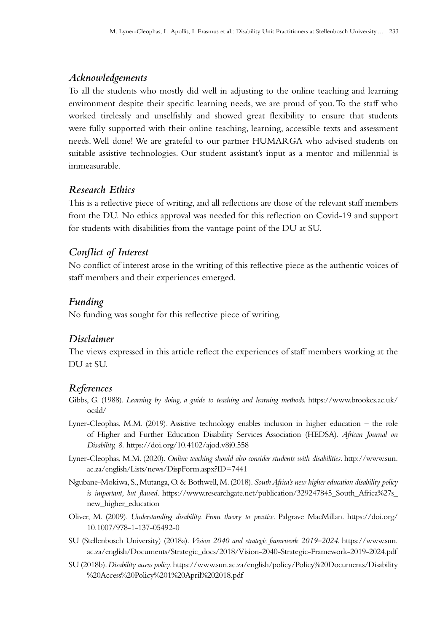# *Acknowledgements*

To all the students who mostly did well in adjusting to the online teaching and learning environment despite their specific learning needs, we are proud of you. To the staff who worked tirelessly and unselfishly and showed great flexibility to ensure that students were fully supported with their online teaching, learning, accessible texts and assessment needs. Well done! We are grateful to our partner HUMARGA who advised students on suitable assistive technologies. Our student assistant's input as a mentor and millennial is immeasurable.

# *Research Ethics*

This is a reflective piece of writing, and all reflections are those of the relevant staff members from the DU. No ethics approval was needed for this reflection on Covid-19 and support for students with disabilities from the vantage point of the DU at SU.

# *Conflict of Interest*

No conflict of interest arose in the writing of this reflective piece as the authentic voices of staff members and their experiences emerged.

## *Funding*

No funding was sought for this reflective piece of writing.

## *Disclaimer*

The views expressed in this article reflect the experiences of staff members working at the DU at SU.

## *References*

- Gibbs, G. (1988). *Learning by doing, a guide to teaching and learning methods.* [https://www.brookes.ac.uk/](https://www.brookes.ac.uk/ocsld/) [ocsld/](https://www.brookes.ac.uk/ocsld/)
- Lyner-Cleophas, M.M. (2019). Assistive technology enables inclusion in higher education the role of Higher and Further Education Disability Services Association (HEDSA). *African Journal on Disability, 8.*<https://doi.org/10.4102/ajod.v8i0.558>
- Lyner-Cleophas, M.M. (2020). *Online teaching should also consider students with disabilities*. [http://www.sun.](http://www.sun.ac.za/english/Lists/news/DispForm.aspx?ID=7441) [ac.za/english/Lists/news/DispForm.aspx?ID=7441](http://www.sun.ac.za/english/Lists/news/DispForm.aspx?ID=7441)
- Ngubane-Mokiwa, S., Mutanga, O. & Bothwell, M. (2018). *South Africa's new higher education disability policy is important, but flawed*. [https://www.researchgate.net/publication/329247845\\_South\\_Africa%27s\\_](https://www.researchgate.net/publication/329247845_South_Africa%27s_new_higher_education) [new\\_higher\\_education](https://www.researchgate.net/publication/329247845_South_Africa%27s_new_higher_education)
- Oliver, M. (2009). *Understanding disability. From theory to practice*. Palgrave MacMillan. [https://doi.org/](https://doi.org/10.1007/978-1-137-05492-0) [10.1007/978-1-137-05492-0](https://doi.org/10.1007/978-1-137-05492-0)
- SU (Stellenbosch University) (2018a). *Vision 2040 and strategic framework 2019–2024*. [https://www.sun.](https://www.sun.ac.za/english/Documents/Strategic_docs/2018/Vision-2040-Strategic-Framework-2019-202) [ac.za/english/Documents/Strategic\\_docs/2018/Vision-2040-Strategic-Framework-2019-2024.pdf](https://www.sun.ac.za/english/Documents/Strategic_docs/2018/Vision-2040-Strategic-Framework-2019-202)
- SU (2018b). *Disability access policy*. [https://www.sun.ac.za/english/policy/Policy%20Documents/Disability](https://www.sun.ac.za/english/policy/Policy%20Documents/Disability%20Access%20Policy%201%20April%202) [%20Access%20Policy%201%20April%202018.pdf](https://www.sun.ac.za/english/policy/Policy%20Documents/Disability%20Access%20Policy%201%20April%202)